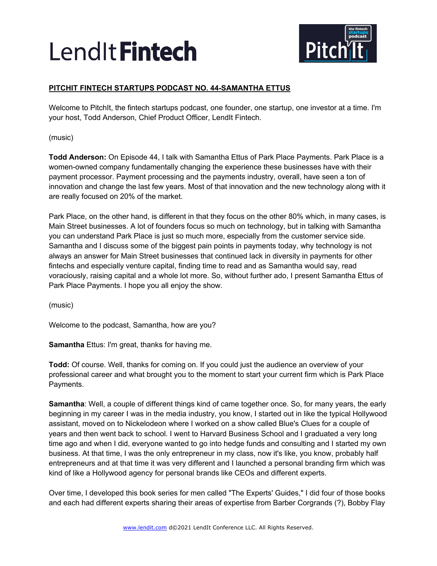

## **PITCHIT FINTECH STARTUPS PODCAST NO. 44-SAMANTHA ETTUS**

Welcome to PitchIt, the fintech startups podcast, one founder, one startup, one investor at a time. I'm your host, Todd Anderson, Chief Product Officer, LendIt Fintech.

(music)

**Todd Anderson:** On Episode 44, I talk with Samantha Ettus of Park Place Payments. Park Place is a women-owned company fundamentally changing the experience these businesses have with their payment processor. Payment processing and the payments industry, overall, have seen a ton of innovation and change the last few years. Most of that innovation and the new technology along with it are really focused on 20% of the market.

Park Place, on the other hand, is different in that they focus on the other 80% which, in many cases, is Main Street businesses. A lot of founders focus so much on technology, but in talking with Samantha you can understand Park Place is just so much more, especially from the customer service side. Samantha and I discuss some of the biggest pain points in payments today, why technology is not always an answer for Main Street businesses that continued lack in diversity in payments for other fintechs and especially venture capital, finding time to read and as Samantha would say, read voraciously, raising capital and a whole lot more. So, without further ado, I present Samantha Ettus of Park Place Payments. I hope you all enjoy the show.

(music)

Welcome to the podcast, Samantha, how are you?

**Samantha** Ettus: I'm great, thanks for having me.

**Todd:** Of course. Well, thanks for coming on. If you could just the audience an overview of your professional career and what brought you to the moment to start your current firm which is Park Place Payments.

**Samantha**: Well, a couple of different things kind of came together once. So, for many years, the early beginning in my career I was in the media industry, you know, I started out in like the typical Hollywood assistant, moved on to Nickelodeon where I worked on a show called Blue's Clues for a couple of years and then went back to school. I went to Harvard Business School and I graduated a very long time ago and when I did, everyone wanted to go into hedge funds and consulting and I started my own business. At that time, I was the only entrepreneur in my class, now it's like, you know, probably half entrepreneurs and at that time it was very different and I launched a personal branding firm which was kind of like a Hollywood agency for personal brands like CEOs and different experts.

Over time, I developed this book series for men called "The Experts' Guides," I did four of those books and each had different experts sharing their areas of expertise from Barber Corgrands (?), Bobby Flay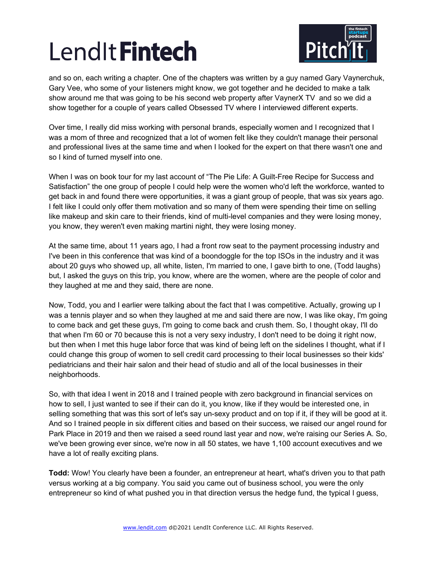

and so on, each writing a chapter. One of the chapters was written by a guy named Gary Vaynerchuk, Gary Vee, who some of your listeners might know, we got together and he decided to make a talk show around me that was going to be his second web property after VaynerX TV and so we did a show together for a couple of years called Obsessed TV where I interviewed different experts.

Over time, I really did miss working with personal brands, especially women and I recognized that I was a mom of three and recognized that a lot of women felt like they couldn't manage their personal and professional lives at the same time and when I looked for the expert on that there wasn't one and so I kind of turned myself into one.

When I was on book tour for my last account of "The Pie Life: A Guilt-Free Recipe for Success and Satisfaction" the one group of people I could help were the women who'd left the workforce, wanted to get back in and found there were opportunities, it was a giant group of people, that was six years ago. I felt like I could only offer them motivation and so many of them were spending their time on selling like makeup and skin care to their friends, kind of multi-level companies and they were losing money, you know, they weren't even making martini night, they were losing money.

At the same time, about 11 years ago, I had a front row seat to the payment processing industry and I've been in this conference that was kind of a boondoggle for the top ISOs in the industry and it was about 20 guys who showed up, all white, listen, I'm married to one, I gave birth to one, (Todd laughs) but, I asked the guys on this trip, you know, where are the women, where are the people of color and they laughed at me and they said, there are none.

Now, Todd, you and I earlier were talking about the fact that I was competitive. Actually, growing up I was a tennis player and so when they laughed at me and said there are now, I was like okay, I'm going to come back and get these guys, I'm going to come back and crush them. So, I thought okay, I'll do that when I'm 60 or 70 because this is not a very sexy industry, I don't need to be doing it right now, but then when I met this huge labor force that was kind of being left on the sidelines I thought, what if I could change this group of women to sell credit card processing to their local businesses so their kids' pediatricians and their hair salon and their head of studio and all of the local businesses in their neighborhoods.

So, with that idea I went in 2018 and I trained people with zero background in financial services on how to sell, I just wanted to see if their can do it, you know, like if they would be interested one, in selling something that was this sort of let's say un-sexy product and on top if it, if they will be good at it. And so I trained people in six different cities and based on their success, we raised our angel round for Park Place in 2019 and then we raised a seed round last year and now, we're raising our Series A. So, we've been growing ever since, we're now in all 50 states, we have 1,100 account executives and we have a lot of really exciting plans.

**Todd:** Wow! You clearly have been a founder, an entrepreneur at heart, what's driven you to that path versus working at a big company. You said you came out of business school, you were the only entrepreneur so kind of what pushed you in that direction versus the hedge fund, the typical I guess,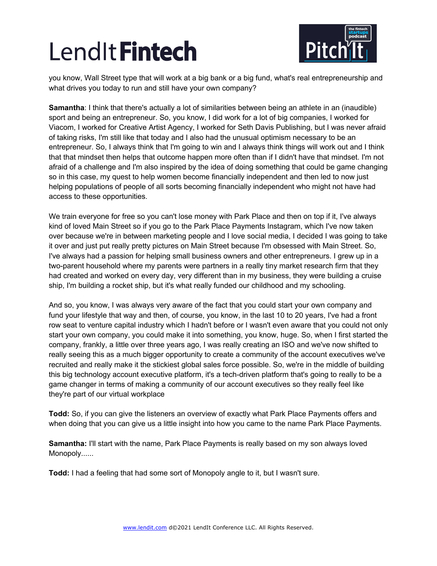

you know, Wall Street type that will work at a big bank or a big fund, what's real entrepreneurship and what drives you today to run and still have your own company?

**Samantha**: I think that there's actually a lot of similarities between being an athlete in an (inaudible) sport and being an entrepreneur. So, you know, I did work for a lot of big companies, I worked for Viacom, I worked for Creative Artist Agency, I worked for Seth Davis Publishing, but I was never afraid of taking risks, I'm still like that today and I also had the unusual optimism necessary to be an entrepreneur. So, I always think that I'm going to win and I always think things will work out and I think that that mindset then helps that outcome happen more often than if I didn't have that mindset. I'm not afraid of a challenge and I'm also inspired by the idea of doing something that could be game changing so in this case, my quest to help women become financially independent and then led to now just helping populations of people of all sorts becoming financially independent who might not have had access to these opportunities.

We train everyone for free so you can't lose money with Park Place and then on top if it, I've always kind of loved Main Street so if you go to the Park Place Payments Instagram, which I've now taken over because we're in between marketing people and I love social media, I decided I was going to take it over and just put really pretty pictures on Main Street because I'm obsessed with Main Street. So, I've always had a passion for helping small business owners and other entrepreneurs. I grew up in a two-parent household where my parents were partners in a really tiny market research firm that they had created and worked on every day, very different than in my business, they were building a cruise ship, I'm building a rocket ship, but it's what really funded our childhood and my schooling.

And so, you know, I was always very aware of the fact that you could start your own company and fund your lifestyle that way and then, of course, you know, in the last 10 to 20 years, I've had a front row seat to venture capital industry which I hadn't before or I wasn't even aware that you could not only start your own company, you could make it into something, you know, huge. So, when I first started the company, frankly, a little over three years ago, I was really creating an ISO and we've now shifted to really seeing this as a much bigger opportunity to create a community of the account executives we've recruited and really make it the stickiest global sales force possible. So, we're in the middle of building this big technology account executive platform, it's a tech-driven platform that's going to really to be a game changer in terms of making a community of our account executives so they really feel like they're part of our virtual workplace

**Todd:** So, if you can give the listeners an overview of exactly what Park Place Payments offers and when doing that you can give us a little insight into how you came to the name Park Place Payments.

**Samantha:** I'll start with the name, Park Place Payments is really based on my son always loved Monopoly......

**Todd:** I had a feeling that had some sort of Monopoly angle to it, but I wasn't sure.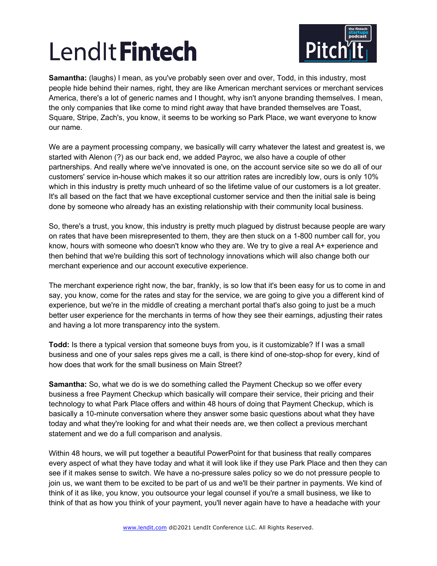

**Samantha:** (laughs) I mean, as you've probably seen over and over, Todd, in this industry, most people hide behind their names, right, they are like American merchant services or merchant services America, there's a lot of generic names and I thought, why isn't anyone branding themselves. I mean, the only companies that like come to mind right away that have branded themselves are Toast, Square, Stripe, Zach's, you know, it seems to be working so Park Place, we want everyone to know our name.

We are a payment processing company, we basically will carry whatever the latest and greatest is, we started with Alenon (?) as our back end, we added Payroc, we also have a couple of other partnerships. And really where we've innovated is one, on the account service site so we do all of our customers' service in-house which makes it so our attrition rates are incredibly low, ours is only 10% which in this industry is pretty much unheard of so the lifetime value of our customers is a lot greater. It's all based on the fact that we have exceptional customer service and then the initial sale is being done by someone who already has an existing relationship with their community local business.

So, there's a trust, you know, this industry is pretty much plagued by distrust because people are wary on rates that have been misrepresented to them, they are then stuck on a 1-800 number call for, you know, hours with someone who doesn't know who they are. We try to give a real A+ experience and then behind that we're building this sort of technology innovations which will also change both our merchant experience and our account executive experience.

The merchant experience right now, the bar, frankly, is so low that it's been easy for us to come in and say, you know, come for the rates and stay for the service, we are going to give you a different kind of experience, but we're in the middle of creating a merchant portal that's also going to just be a much better user experience for the merchants in terms of how they see their earnings, adjusting their rates and having a lot more transparency into the system.

**Todd:** Is there a typical version that someone buys from you, is it customizable? If I was a small business and one of your sales reps gives me a call, is there kind of one-stop-shop for every, kind of how does that work for the small business on Main Street?

**Samantha:** So, what we do is we do something called the Payment Checkup so we offer every business a free Payment Checkup which basically will compare their service, their pricing and their technology to what Park Place offers and within 48 hours of doing that Payment Checkup, which is basically a 10-minute conversation where they answer some basic questions about what they have today and what they're looking for and what their needs are, we then collect a previous merchant statement and we do a full comparison and analysis.

Within 48 hours, we will put together a beautiful PowerPoint for that business that really compares every aspect of what they have today and what it will look like if they use Park Place and then they can see if it makes sense to switch. We have a no-pressure sales policy so we do not pressure people to join us, we want them to be excited to be part of us and we'll be their partner in payments. We kind of think of it as like, you know, you outsource your legal counsel if you're a small business, we like to think of that as how you think of your payment, you'll never again have to have a headache with your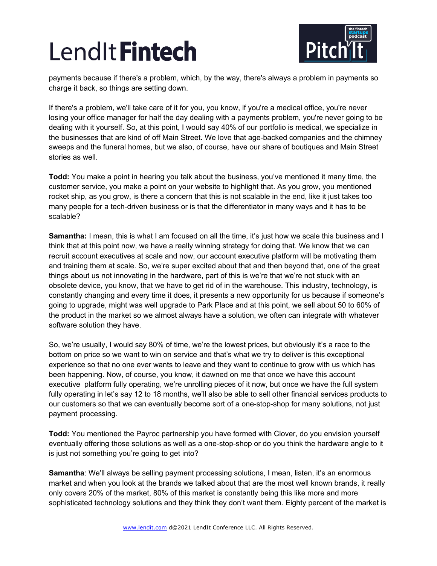

payments because if there's a problem, which, by the way, there's always a problem in payments so charge it back, so things are setting down.

If there's a problem, we'll take care of it for you, you know, if you're a medical office, you're never losing your office manager for half the day dealing with a payments problem, you're never going to be dealing with it yourself. So, at this point, I would say 40% of our portfolio is medical, we specialize in the businesses that are kind of off Main Street. We love that age-backed companies and the chimney sweeps and the funeral homes, but we also, of course, have our share of boutiques and Main Street stories as well.

**Todd:** You make a point in hearing you talk about the business, you've mentioned it many time, the customer service, you make a point on your website to highlight that. As you grow, you mentioned rocket ship, as you grow, is there a concern that this is not scalable in the end, like it just takes too many people for a tech-driven business or is that the differentiator in many ways and it has to be scalable?

**Samantha:** I mean, this is what I am focused on all the time, it's just how we scale this business and I think that at this point now, we have a really winning strategy for doing that. We know that we can recruit account executives at scale and now, our account executive platform will be motivating them and training them at scale. So, we're super excited about that and then beyond that, one of the great things about us not innovating in the hardware, part of this is we're that we're not stuck with an obsolete device, you know, that we have to get rid of in the warehouse. This industry, technology, is constantly changing and every time it does, it presents a new opportunity for us because if someone's going to upgrade, might was well upgrade to Park Place and at this point, we sell about 50 to 60% of the product in the market so we almost always have a solution, we often can integrate with whatever software solution they have.

So, we're usually, I would say 80% of time, we're the lowest prices, but obviously it's a race to the bottom on price so we want to win on service and that's what we try to deliver is this exceptional experience so that no one ever wants to leave and they want to continue to grow with us which has been happening. Now, of course, you know, it dawned on me that once we have this account executive platform fully operating, we're unrolling pieces of it now, but once we have the full system fully operating in let's say 12 to 18 months, we'll also be able to sell other financial services products to our customers so that we can eventually become sort of a one-stop-shop for many solutions, not just payment processing.

**Todd:** You mentioned the Payroc partnership you have formed with Clover, do you envision yourself eventually offering those solutions as well as a one-stop-shop or do you think the hardware angle to it is just not something you're going to get into?

**Samantha**: We'll always be selling payment processing solutions, I mean, listen, it's an enormous market and when you look at the brands we talked about that are the most well known brands, it really only covers 20% of the market, 80% of this market is constantly being this like more and more sophisticated technology solutions and they think they don't want them. Eighty percent of the market is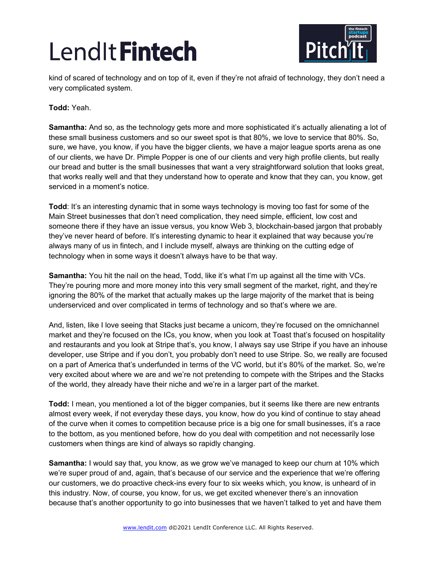

kind of scared of technology and on top of it, even if they're not afraid of technology, they don't need a very complicated system.

## **Todd:** Yeah.

**Samantha:** And so, as the technology gets more and more sophisticated it's actually alienating a lot of these small business customers and so our sweet spot is that 80%, we love to service that 80%. So, sure, we have, you know, if you have the bigger clients, we have a major league sports arena as one of our clients, we have Dr. Pimple Popper is one of our clients and very high profile clients, but really our bread and butter is the small businesses that want a very straightforward solution that looks great, that works really well and that they understand how to operate and know that they can, you know, get serviced in a moment's notice.

**Todd**: It's an interesting dynamic that in some ways technology is moving too fast for some of the Main Street businesses that don't need complication, they need simple, efficient, low cost and someone there if they have an issue versus, you know Web 3, blockchain-based jargon that probably they've never heard of before. It's interesting dynamic to hear it explained that way because you're always many of us in fintech, and I include myself, always are thinking on the cutting edge of technology when in some ways it doesn't always have to be that way.

**Samantha:** You hit the nail on the head, Todd, like it's what I'm up against all the time with VCs. They're pouring more and more money into this very small segment of the market, right, and they're ignoring the 80% of the market that actually makes up the large majority of the market that is being underserviced and over complicated in terms of technology and so that's where we are.

And, listen, like I love seeing that Stacks just became a unicorn, they're focused on the omnichannel market and they're focused on the ICs, you know, when you look at Toast that's focused on hospitality and restaurants and you look at Stripe that's, you know, I always say use Stripe if you have an inhouse developer, use Stripe and if you don't, you probably don't need to use Stripe. So, we really are focused on a part of America that's underfunded in terms of the VC world, but it's 80% of the market. So, we're very excited about where we are and we're not pretending to compete with the Stripes and the Stacks of the world, they already have their niche and we're in a larger part of the market.

**Todd:** I mean, you mentioned a lot of the bigger companies, but it seems like there are new entrants almost every week, if not everyday these days, you know, how do you kind of continue to stay ahead of the curve when it comes to competition because price is a big one for small businesses, it's a race to the bottom, as you mentioned before, how do you deal with competition and not necessarily lose customers when things are kind of always so rapidly changing.

**Samantha:** I would say that, you know, as we grow we've managed to keep our churn at 10% which we're super proud of and, again, that's because of our service and the experience that we're offering our customers, we do proactive check-ins every four to six weeks which, you know, is unheard of in this industry. Now, of course, you know, for us, we get excited whenever there's an innovation because that's another opportunity to go into businesses that we haven't talked to yet and have them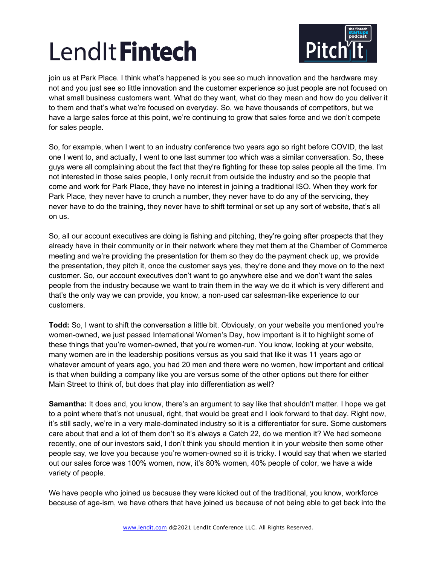

join us at Park Place. I think what's happened is you see so much innovation and the hardware may not and you just see so little innovation and the customer experience so just people are not focused on what small business customers want. What do they want, what do they mean and how do you deliver it to them and that's what we're focused on everyday. So, we have thousands of competitors, but we have a large sales force at this point, we're continuing to grow that sales force and we don't compete for sales people.

So, for example, when I went to an industry conference two years ago so right before COVID, the last one I went to, and actually, I went to one last summer too which was a similar conversation. So, these guys were all complaining about the fact that they're fighting for these top sales people all the time. I'm not interested in those sales people, I only recruit from outside the industry and so the people that come and work for Park Place, they have no interest in joining a traditional ISO. When they work for Park Place, they never have to crunch a number, they never have to do any of the servicing, they never have to do the training, they never have to shift terminal or set up any sort of website, that's all on us.

So, all our account executives are doing is fishing and pitching, they're going after prospects that they already have in their community or in their network where they met them at the Chamber of Commerce meeting and we're providing the presentation for them so they do the payment check up, we provide the presentation, they pitch it, once the customer says yes, they're done and they move on to the next customer. So, our account executives don't want to go anywhere else and we don't want the sales people from the industry because we want to train them in the way we do it which is very different and that's the only way we can provide, you know, a non-used car salesman-like experience to our customers.

**Todd:** So, I want to shift the conversation a little bit. Obviously, on your website you mentioned you're women-owned, we just passed International Women's Day, how important is it to highlight some of these things that you're women-owned, that you're women-run. You know, looking at your website, many women are in the leadership positions versus as you said that like it was 11 years ago or whatever amount of years ago, you had 20 men and there were no women, how important and critical is that when building a company like you are versus some of the other options out there for either Main Street to think of, but does that play into differentiation as well?

**Samantha:** It does and, you know, there's an argument to say like that shouldn't matter. I hope we get to a point where that's not unusual, right, that would be great and I look forward to that day. Right now, it's still sadly, we're in a very male-dominated industry so it is a differentiator for sure. Some customers care about that and a lot of them don't so it's always a Catch 22, do we mention it? We had someone recently, one of our investors said, I don't think you should mention it in your website then some other people say, we love you because you're women-owned so it is tricky. I would say that when we started out our sales force was 100% women, now, it's 80% women, 40% people of color, we have a wide variety of people.

We have people who joined us because they were kicked out of the traditional, you know, workforce because of age-ism, we have others that have joined us because of not being able to get back into the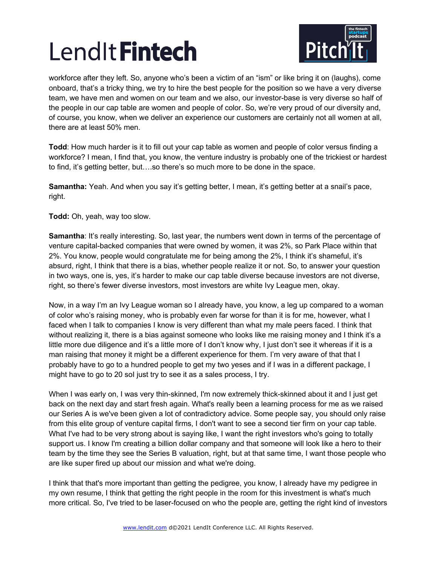

workforce after they left. So, anyone who's been a victim of an "ism" or like bring it on (laughs), come onboard, that's a tricky thing, we try to hire the best people for the position so we have a very diverse team, we have men and women on our team and we also, our investor-base is very diverse so half of the people in our cap table are women and people of color. So, we're very proud of our diversity and, of course, you know, when we deliver an experience our customers are certainly not all women at all, there are at least 50% men.

**Todd**: How much harder is it to fill out your cap table as women and people of color versus finding a workforce? I mean, I find that, you know, the venture industry is probably one of the trickiest or hardest to find, it's getting better, but….so there's so much more to be done in the space.

**Samantha:** Yeah. And when you say it's getting better, I mean, it's getting better at a snail's pace, right.

**Todd:** Oh, yeah, way too slow.

**Samantha:** It's really interesting. So, last year, the numbers went down in terms of the percentage of venture capital-backed companies that were owned by women, it was 2%, so Park Place within that 2%. You know, people would congratulate me for being among the 2%, I think it's shameful, it's absurd, right, I think that there is a bias, whether people realize it or not. So, to answer your question in two ways, one is, yes, it's harder to make our cap table diverse because investors are not diverse, right, so there's fewer diverse investors, most investors are white Ivy League men, okay.

Now, in a way I'm an Ivy League woman so I already have, you know, a leg up compared to a woman of color who's raising money, who is probably even far worse for than it is for me, however, what I faced when I talk to companies I know is very different than what my male peers faced. I think that without realizing it, there is a bias against someone who looks like me raising money and I think it's a little more due diligence and it's a little more of I don't know why, I just don't see it whereas if it is a man raising that money it might be a different experience for them. I'm very aware of that that I probably have to go to a hundred people to get my two yeses and if I was in a different package, I might have to go to 20 soI just try to see it as a sales process, I try.

When I was early on, I was very thin-skinned, I'm now extremely thick-skinned about it and I just get back on the next day and start fresh again. What's really been a learning process for me as we raised our Series A is we've been given a lot of contradictory advice. Some people say, you should only raise from this elite group of venture capital firms, I don't want to see a second tier firm on your cap table. What I've had to be very strong about is saying like, I want the right investors who's going to totally support us. I know I'm creating a billion dollar company and that someone will look like a hero to their team by the time they see the Series B valuation, right, but at that same time, I want those people who are like super fired up about our mission and what we're doing.

I think that that's more important than getting the pedigree, you know, I already have my pedigree in my own resume, I think that getting the right people in the room for this investment is what's much more critical. So, I've tried to be laser-focused on who the people are, getting the right kind of investors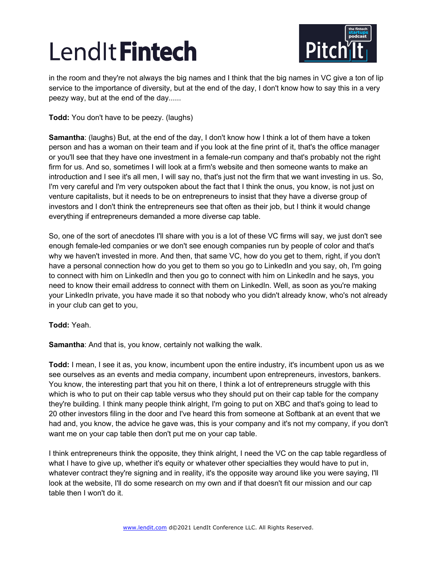

in the room and they're not always the big names and I think that the big names in VC give a ton of lip service to the importance of diversity, but at the end of the day, I don't know how to say this in a very peezy way, but at the end of the day......

**Todd:** You don't have to be peezy. (laughs)

**Samantha**: (laughs) But, at the end of the day, I don't know how I think a lot of them have a token person and has a woman on their team and if you look at the fine print of it, that's the office manager or you'll see that they have one investment in a female-run company and that's probably not the right firm for us. And so, sometimes I will look at a firm's website and then someone wants to make an introduction and I see it's all men, I will say no, that's just not the firm that we want investing in us. So, I'm very careful and I'm very outspoken about the fact that I think the onus, you know, is not just on venture capitalists, but it needs to be on entrepreneurs to insist that they have a diverse group of investors and I don't think the entrepreneurs see that often as their job, but I think it would change everything if entrepreneurs demanded a more diverse cap table.

So, one of the sort of anecdotes I'll share with you is a lot of these VC firms will say, we just don't see enough female-led companies or we don't see enough companies run by people of color and that's why we haven't invested in more. And then, that same VC, how do you get to them, right, if you don't have a personal connection how do you get to them so you go to LinkedIn and you say, oh, I'm going to connect with him on LinkedIn and then you go to connect with him on LinkedIn and he says, you need to know their email address to connect with them on LinkedIn. Well, as soon as you're making your LinkedIn private, you have made it so that nobody who you didn't already know, who's not already in your club can get to you,

**Todd:** Yeah.

**Samantha:** And that is, you know, certainly not walking the walk.

**Todd:** I mean, I see it as, you know, incumbent upon the entire industry, it's incumbent upon us as we see ourselves as an events and media company, incumbent upon entrepreneurs, investors, bankers. You know, the interesting part that you hit on there, I think a lot of entrepreneurs struggle with this which is who to put on their cap table versus who they should put on their cap table for the company they're building. I think many people think alright, I'm going to put on XBC and that's going to lead to 20 other investors filing in the door and I've heard this from someone at Softbank at an event that we had and, you know, the advice he gave was, this is your company and it's not my company, if you don't want me on your cap table then don't put me on your cap table.

I think entrepreneurs think the opposite, they think alright, I need the VC on the cap table regardless of what I have to give up, whether it's equity or whatever other specialties they would have to put in, whatever contract they're signing and in reality, it's the opposite way around like you were saying, I'll look at the website, I'll do some research on my own and if that doesn't fit our mission and our cap table then I won't do it.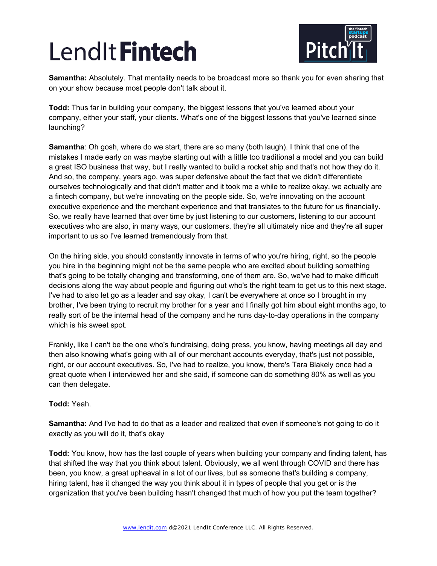

**Samantha:** Absolutely. That mentality needs to be broadcast more so thank you for even sharing that on your show because most people don't talk about it.

**Todd:** Thus far in building your company, the biggest lessons that you've learned about your company, either your staff, your clients. What's one of the biggest lessons that you've learned since launching?

**Samantha**: Oh gosh, where do we start, there are so many (both laugh). I think that one of the mistakes I made early on was maybe starting out with a little too traditional a model and you can build a great ISO business that way, but I really wanted to build a rocket ship and that's not how they do it. And so, the company, years ago, was super defensive about the fact that we didn't differentiate ourselves technologically and that didn't matter and it took me a while to realize okay, we actually are a fintech company, but we're innovating on the people side. So, we're innovating on the account executive experience and the merchant experience and that translates to the future for us financially. So, we really have learned that over time by just listening to our customers, listening to our account executives who are also, in many ways, our customers, they're all ultimately nice and they're all super important to us so I've learned tremendously from that.

On the hiring side, you should constantly innovate in terms of who you're hiring, right, so the people you hire in the beginning might not be the same people who are excited about building something that's going to be totally changing and transforming, one of them are. So, we've had to make difficult decisions along the way about people and figuring out who's the right team to get us to this next stage. I've had to also let go as a leader and say okay, I can't be everywhere at once so I brought in my brother, I've been trying to recruit my brother for a year and I finally got him about eight months ago, to really sort of be the internal head of the company and he runs day-to-day operations in the company which is his sweet spot.

Frankly, like I can't be the one who's fundraising, doing press, you know, having meetings all day and then also knowing what's going with all of our merchant accounts everyday, that's just not possible, right, or our account executives. So, I've had to realize, you know, there's Tara Blakely once had a great quote when I interviewed her and she said, if someone can do something 80% as well as you can then delegate.

## **Todd:** Yeah.

**Samantha:** And I've had to do that as a leader and realized that even if someone's not going to do it exactly as you will do it, that's okay

**Todd:** You know, how has the last couple of years when building your company and finding talent, has that shifted the way that you think about talent. Obviously, we all went through COVID and there has been, you know, a great upheaval in a lot of our lives, but as someone that's building a company, hiring talent, has it changed the way you think about it in types of people that you get or is the organization that you've been building hasn't changed that much of how you put the team together?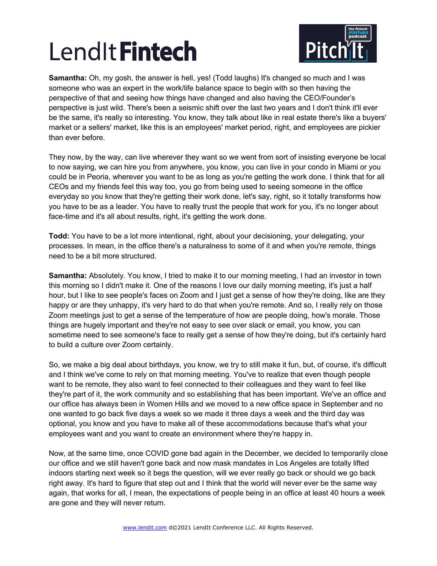

**Samantha:** Oh, my gosh, the answer is hell, yes! (Todd laughs) It's changed so much and I was someone who was an expert in the work/life balance space to begin with so then having the perspective of that and seeing how things have changed and also having the CEO/Founder's perspective is just wild. There's been a seismic shift over the last two years and I don't think it'll ever be the same, it's really so interesting. You know, they talk about like in real estate there's like a buyers' market or a sellers' market, like this is an employees' market period, right, and employees are pickier than ever before.

They now, by the way, can live wherever they want so we went from sort of insisting everyone be local to now saying, we can hire you from anywhere, you know, you can live in your condo in Miami or you could be in Peoria, wherever you want to be as long as you're getting the work done. I think that for all CEOs and my friends feel this way too, you go from being used to seeing someone in the office everyday so you know that they're getting their work done, let's say, right, so it totally transforms how you have to be as a leader. You have to really trust the people that work for you, it's no longer about face-time and it's all about results, right, it's getting the work done.

**Todd:** You have to be a lot more intentional, right, about your decisioning, your delegating, your processes. In mean, in the office there's a naturalness to some of it and when you're remote, things need to be a bit more structured.

**Samantha:** Absolutely. You know, I tried to make it to our morning meeting, I had an investor in town this morning so I didn't make it. One of the reasons I love our daily morning meeting, it's just a half hour, but I like to see people's faces on Zoom and I just get a sense of how they're doing, like are they happy or are they unhappy, it's very hard to do that when you're remote. And so, I really rely on those Zoom meetings just to get a sense of the temperature of how are people doing, how's morale. Those things are hugely important and they're not easy to see over slack or email, you know, you can sometime need to see someone's face to really get a sense of how they're doing, but it's certainly hard to build a culture over Zoom certainly.

So, we make a big deal about birthdays, you know, we try to still make it fun, but, of course, it's difficult and I think we've come to rely on that morning meeting. You've to realize that even though people want to be remote, they also want to feel connected to their colleagues and they want to feel like they're part of it, the work community and so establishing that has been important. We've an office and our office has always been in Women Hills and we moved to a new office space in September and no one wanted to go back five days a week so we made it three days a week and the third day was optional, you know and you have to make all of these accommodations because that's what your employees want and you want to create an environment where they're happy in.

Now, at the same time, once COVID gone bad again in the December, we decided to temporarily close our office and we still haven't gone back and now mask mandates in Los Angeles are totally lifted indoors starting next week so it begs the question, will we ever really go back or should we go back right away. It's hard to figure that step out and I think that the world will never ever be the same way again, that works for all, I mean, the expectations of people being in an office at least 40 hours a week are gone and they will never return.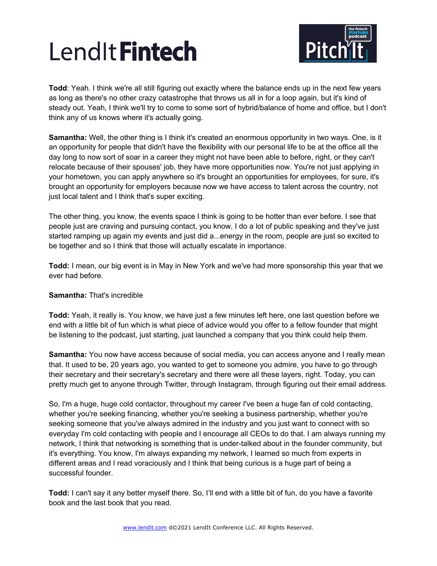

**Todd**: Yeah. I think we're all still figuring out exactly where the balance ends up in the next few years as long as there's no other crazy catastrophe that throws us all in for a loop again, but it's kind of steady out. Yeah, I think we'll try to come to some sort of hybrid/balance of home and office, but I don't think any of us knows where it's actually going.

**Samantha:** Well, the other thing is I think it's created an enormous opportunity in two ways. One, is it an opportunity for people that didn't have the flexibility with our personal life to be at the office all the day long to now sort of soar in a career they might not have been able to before, right, or they can't relocate because of their spouses' job, they have more opportunities now. You're not just applying in your hometown, you can apply anywhere so it's brought an opportunities for employees, for sure, it's brought an opportunity for employers because now we have access to talent across the country, not just local talent and I think that's super exciting.

The other thing, you know, the events space I think is going to be hotter than ever before. I see that people just are craving and pursuing contact, you know, I do a lot of public speaking and they've just started ramping up again my events and just did a...energy in the room, people are just so excited to be together and so I think that those will actually escalate in importance.

**Todd:** I mean, our big event is in May in New York and we've had more sponsorship this year that we ever had before.

## **Samantha:** That's incredible

**Todd:** Yeah, it really is. You know, we have just a few minutes left here, one last question before we end with a little bit of fun which is what piece of advice would you offer to a fellow founder that might be listening to the podcast, just starting, just launched a company that you think could help them.

**Samantha:** You now have access because of social media, you can access anyone and I really mean that. It used to be, 20 years ago, you wanted to get to someone you admire, you have to go through their secretary and their secretary's secretary and there were all these layers, right. Today, you can pretty much get to anyone through Twitter, through Instagram, through figuring out their email address.

So, I'm a huge, huge cold contactor, throughout my career I've been a huge fan of cold contacting, whether you're seeking financing, whether you're seeking a business partnership, whether you're seeking someone that you've always admired in the industry and you just want to connect with so everyday I'm cold contacting with people and I encourage all CEOs to do that. I am always running my network, I think that networking is something that is under-talked about in the founder community, but it's everything. You know, I'm always expanding my network, I learned so much from experts in different areas and I read voraciously and I think that being curious is a huge part of being a successful founder.

**Todd:** I can't say it any better myself there. So, I'll end with a little bit of fun, do you have a favorite book and the last book that you read.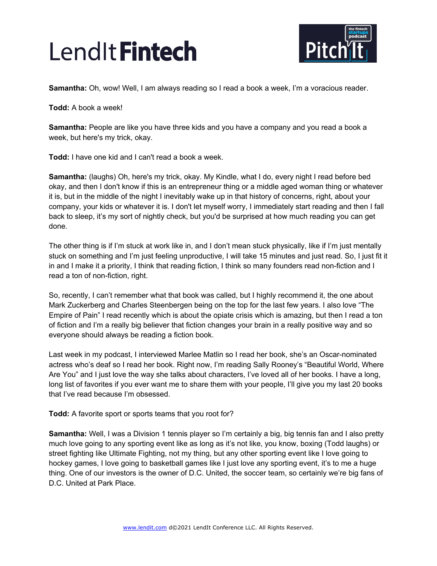

**Samantha:** Oh, wow! Well, I am always reading so I read a book a week, I'm a voracious reader.

**Todd:** A book a week!

**Samantha:** People are like you have three kids and you have a company and you read a book a week, but here's my trick, okay.

**Todd:** I have one kid and I can't read a book a week.

**Samantha:** (laughs) Oh, here's my trick, okay. My Kindle, what I do, every night I read before bed okay, and then I don't know if this is an entrepreneur thing or a middle aged woman thing or whatever it is, but in the middle of the night I inevitably wake up in that history of concerns, right, about your company, your kids or whatever it is. I don't let myself worry, I immediately start reading and then I fall back to sleep, it's my sort of nightly check, but you'd be surprised at how much reading you can get done.

The other thing is if I'm stuck at work like in, and I don't mean stuck physically, like if I'm just mentally stuck on something and I'm just feeling unproductive, I will take 15 minutes and just read. So, I just fit it in and I make it a priority, I think that reading fiction, I think so many founders read non-fiction and I read a ton of non-fiction, right.

So, recently, I can't remember what that book was called, but I highly recommend it, the one about Mark Zuckerberg and Charles Steenbergen being on the top for the last few years. I also love "The Empire of Pain" I read recently which is about the opiate crisis which is amazing, but then I read a ton of fiction and I'm a really big believer that fiction changes your brain in a really positive way and so everyone should always be reading a fiction book.

Last week in my podcast, I interviewed Marlee Matlin so I read her book, she's an Oscar-nominated actress who's deaf so I read her book. Right now, I'm reading Sally Rooney's "Beautiful World, Where Are You" and I just love the way she talks about characters, I've loved all of her books. I have a long, long list of favorites if you ever want me to share them with your people, I'll give you my last 20 books that I've read because I'm obsessed.

**Todd:** A favorite sport or sports teams that you root for?

**Samantha:** Well, I was a Division 1 tennis player so I'm certainly a big, big tennis fan and I also pretty much love going to any sporting event like as long as it's not like, you know, boxing (Todd laughs) or street fighting like Ultimate Fighting, not my thing, but any other sporting event like I love going to hockey games, I love going to basketball games like I just love any sporting event, it's to me a huge thing. One of our investors is the owner of D.C. United, the soccer team, so certainly we're big fans of D.C. United at Park Place.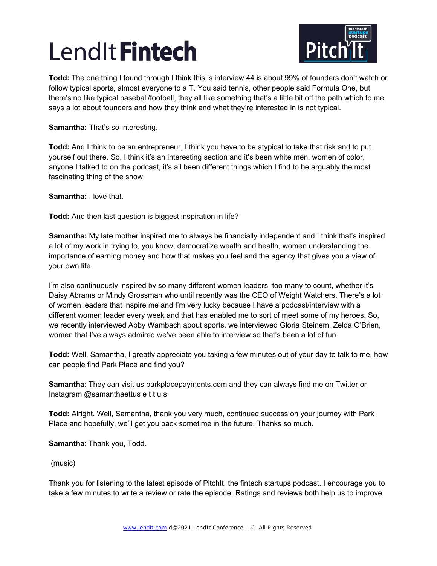

**Todd:** The one thing I found through I think this is interview 44 is about 99% of founders don't watch or follow typical sports, almost everyone to a T. You said tennis, other people said Formula One, but there's no like typical baseball/football, they all like something that's a little bit off the path which to me says a lot about founders and how they think and what they're interested in is not typical.

**Samantha:** That's so interesting.

**Todd:** And I think to be an entrepreneur, I think you have to be atypical to take that risk and to put yourself out there. So, I think it's an interesting section and it's been white men, women of color, anyone I talked to on the podcast, it's all been different things which I find to be arguably the most fascinating thing of the show.

**Samantha:** I love that.

**Todd:** And then last question is biggest inspiration in life?

**Samantha:** My late mother inspired me to always be financially independent and I think that's inspired a lot of my work in trying to, you know, democratize wealth and health, women understanding the importance of earning money and how that makes you feel and the agency that gives you a view of your own life.

I'm also continuously inspired by so many different women leaders, too many to count, whether it's Daisy Abrams or Mindy Grossman who until recently was the CEO of Weight Watchers. There's a lot of women leaders that inspire me and I'm very lucky because I have a podcast/interview with a different women leader every week and that has enabled me to sort of meet some of my heroes. So, we recently interviewed Abby Wambach about sports, we interviewed Gloria Steinem, Zelda O'Brien, women that I've always admired we've been able to interview so that's been a lot of fun.

**Todd:** Well, Samantha, I greatly appreciate you taking a few minutes out of your day to talk to me, how can people find Park Place and find you?

**Samantha**: They can visit us parkplacepayments.com and they can always find me on Twitter or Instagram @samanthaettus e t t u s.

**Todd:** Alright. Well, Samantha, thank you very much, continued success on your journey with Park Place and hopefully, we'll get you back sometime in the future. Thanks so much.

**Samantha**: Thank you, Todd.

(music)

Thank you for listening to the latest episode of PitchIt, the fintech startups podcast. I encourage you to take a few minutes to write a review or rate the episode. Ratings and reviews both help us to improve